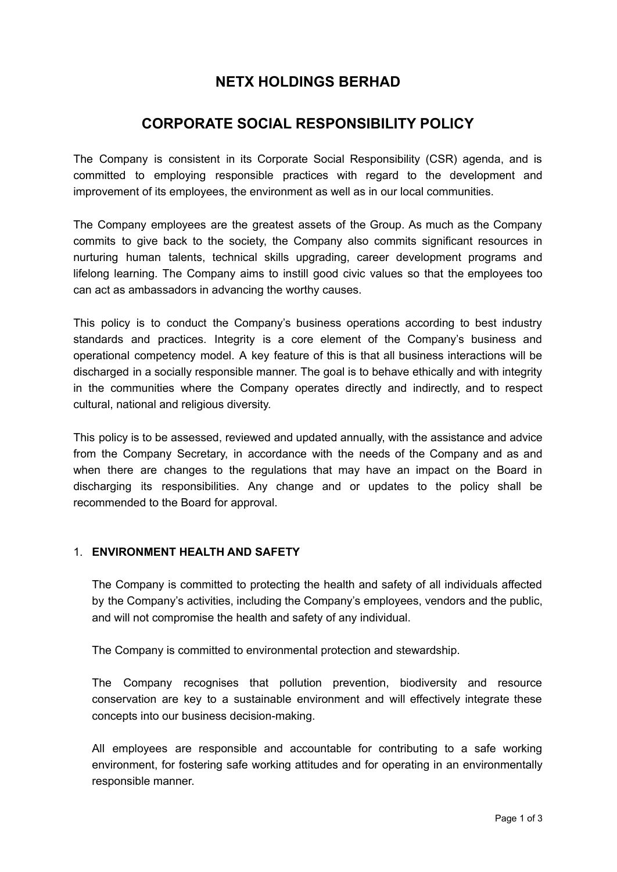# **NETX HOLDINGS BERHAD**

# **CORPORATE SOCIAL RESPONSIBILITY POLICY**

The Company is consistent in its Corporate Social Responsibility (CSR) agenda, and is committed to employing responsible practices with regard to the development and improvement of its employees, the environment as well as in our local communities.

The Company employees are the greatest assets of the Group. As much as the Company commits to give back to the society, the Company also commits significant resources in nurturing human talents, technical skills upgrading, career development programs and lifelong learning. The Company aims to instill good civic values so that the employees too can act as ambassadors in advancing the worthy causes.

This policy is to conduct the Company's business operations according to best industry standards and practices. Integrity is a core element of the Company's business and operational competency model. A key feature of this is that all business interactions will be discharged in a socially responsible manner. The goal is to behave ethically and with integrity in the communities where the Company operates directly and indirectly, and to respect cultural, national and religious diversity.

This policy is to be assessed, reviewed and updated annually, with the assistance and advice from the Company Secretary, in accordance with the needs of the Company and as and when there are changes to the regulations that may have an impact on the Board in discharging its responsibilities. Any change and or updates to the policy shall be recommended to the Board for approval.

## 1. **ENVIRONMENT HEALTH AND SAFETY**

The Company is committed to protecting the health and safety of all individuals affected by the Company's activities, including the Company's employees, vendors and the public, and will not compromise the health and safety of any individual.

The Company is committed to environmental protection and stewardship.

The Company recognises that pollution prevention, biodiversity and resource conservation are key to a sustainable environment and will effectively integrate these concepts into our business decision-making.

All employees are responsible and accountable for contributing to a safe working environment, for fostering safe working attitudes and for operating in an environmentally responsible manner.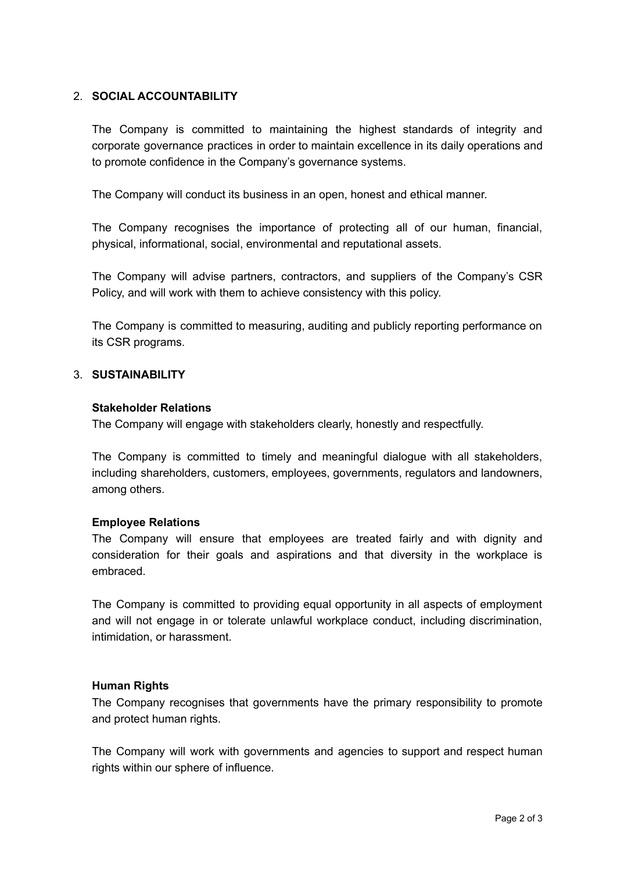## 2. **SOCIAL ACCOUNTABILITY**

The Company is committed to maintaining the highest standards of integrity and corporate governance practices in order to maintain excellence in its daily operations and to promote confidence in the Company's governance systems.

The Company will conduct its business in an open, honest and ethical manner.

The Company recognises the importance of protecting all of our human, financial, physical, informational, social, environmental and reputational assets.

The Company will advise partners, contractors, and suppliers of the Company's CSR Policy, and will work with them to achieve consistency with this policy.

The Company is committed to measuring, auditing and publicly reporting performance on its CSR programs.

## 3. **SUSTAINABILITY**

### **Stakeholder Relations**

The Company will engage with stakeholders clearly, honestly and respectfully.

The Company is committed to timely and meaningful dialogue with all stakeholders, including shareholders, customers, employees, governments, regulators and landowners, among others.

### **Employee Relations**

The Company will ensure that employees are treated fairly and with dignity and consideration for their goals and aspirations and that diversity in the workplace is embraced.

The Company is committed to providing equal opportunity in all aspects of employment and will not engage in or tolerate unlawful workplace conduct, including discrimination, intimidation, or harassment.

### **Human Rights**

The Company recognises that governments have the primary responsibility to promote and protect human rights.

The Company will work with governments and agencies to support and respect human rights within our sphere of influence.